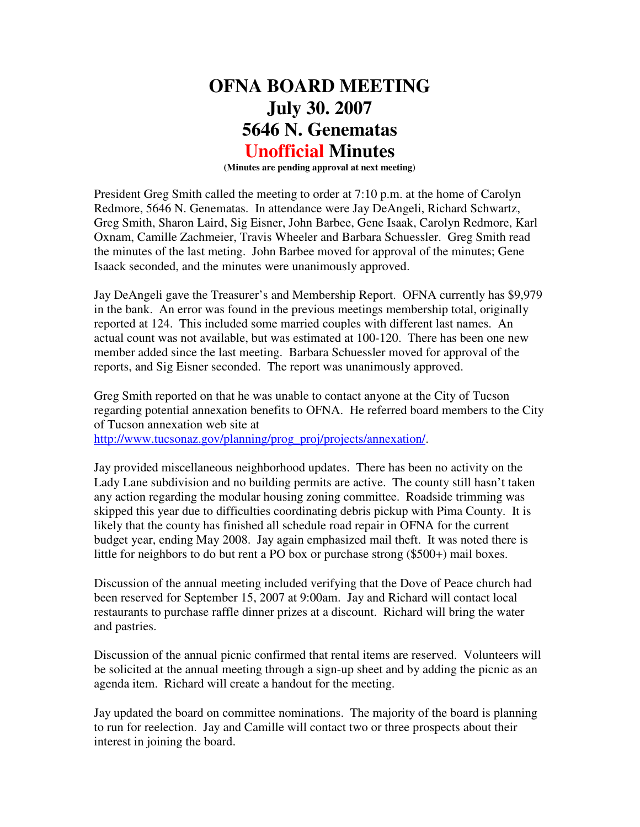## **OFNA BOARD MEETING July 30. 2007 5646 N. Genematas Unofficial Minutes**

**(Minutes are pending approval at next meeting)** 

President Greg Smith called the meeting to order at 7:10 p.m. at the home of Carolyn Redmore, 5646 N. Genematas. In attendance were Jay DeAngeli, Richard Schwartz, Greg Smith, Sharon Laird, Sig Eisner, John Barbee, Gene Isaak, Carolyn Redmore, Karl Oxnam, Camille Zachmeier, Travis Wheeler and Barbara Schuessler. Greg Smith read the minutes of the last meting. John Barbee moved for approval of the minutes; Gene Isaack seconded, and the minutes were unanimously approved.

Jay DeAngeli gave the Treasurer's and Membership Report. OFNA currently has \$9,979 in the bank. An error was found in the previous meetings membership total, originally reported at 124. This included some married couples with different last names. An actual count was not available, but was estimated at 100-120. There has been one new member added since the last meeting. Barbara Schuessler moved for approval of the reports, and Sig Eisner seconded. The report was unanimously approved.

Greg Smith reported on that he was unable to contact anyone at the City of Tucson regarding potential annexation benefits to OFNA. He referred board members to the City of Tucson annexation web site at

http://www.tucsonaz.gov/planning/prog\_proj/projects/annexation/.

Jay provided miscellaneous neighborhood updates. There has been no activity on the Lady Lane subdivision and no building permits are active. The county still hasn't taken any action regarding the modular housing zoning committee. Roadside trimming was skipped this year due to difficulties coordinating debris pickup with Pima County. It is likely that the county has finished all schedule road repair in OFNA for the current budget year, ending May 2008. Jay again emphasized mail theft. It was noted there is little for neighbors to do but rent a PO box or purchase strong (\$500+) mail boxes.

Discussion of the annual meeting included verifying that the Dove of Peace church had been reserved for September 15, 2007 at 9:00am. Jay and Richard will contact local restaurants to purchase raffle dinner prizes at a discount. Richard will bring the water and pastries.

Discussion of the annual picnic confirmed that rental items are reserved. Volunteers will be solicited at the annual meeting through a sign-up sheet and by adding the picnic as an agenda item. Richard will create a handout for the meeting.

Jay updated the board on committee nominations. The majority of the board is planning to run for reelection. Jay and Camille will contact two or three prospects about their interest in joining the board.